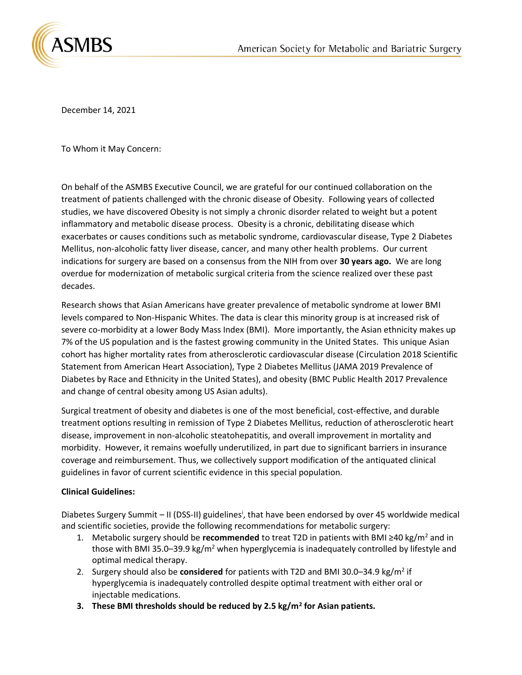

December 14, 2021

To Whom it May Concern:

On behalf of the ASMBS Executive Council, we are grateful for our continued collaboration on the treatment of patients challenged with the chronic disease of Obesity. Following years of collected studies, we have discovered Obesity is not simply a chronic disorder related to weight but a potent inflammatory and metabolic disease process. Obesity is a chronic, debilitating disease which exacerbates or causes conditions such as metabolic syndrome, cardiovascular disease, Type 2 Diabetes Mellitus, non-alcoholic fatty liver disease, cancer, and many other health problems. Our current indications for surgery are based on a consensus from the NIH from over **30 years ago.** We are long overdue for modernization of metabolic surgical criteria from the science realized over these past decades.

Research shows that Asian Americans have greater prevalence of metabolic syndrome at lower BMI levels compared to Non-Hispanic Whites. The data is clear this minority group is at increased risk of severe co-morbidity at a lower Body Mass Index (BMI). More importantly, the Asian ethnicity makes up 7% of the US population and is the fastest growing community in the United States. This unique Asian cohort has higher mortality rates from atherosclerotic cardiovascular disease (Circulation 2018 Scientific Statement from American Heart Association), Type 2 Diabetes Mellitus (JAMA 2019 Prevalence of Diabetes by Race and Ethnicity in the United States), and obesity (BMC Public Health 2017 Prevalence and change of central obesity among US Asian adults).

Surgical treatment of obesity and diabetes is one of the most beneficial, cost-effective, and durable treatment options resulting in remission of Type 2 Diabetes Mellitus, reduction of atherosclerotic heart disease, improvement in non-alcoholic steatohepatitis, and overall improvement in mortality and morbidity. However, it remains woefully underutilized, in part due to significant barriers in insurance coverage and reimbursement. Thus, we collectively support modification of the antiquated clinical guidelines in favor of current scientific evidence in this special population.

## **Clinical Guidelines:**

Diabetes Surgery Summit - II (DSS-II) guidelines<sup>i</sup>, that have been endorsed by over 45 worldwide medical and scientific societies, provide the following recommendations for metabolic surgery:

- 1. Metabolic surgery should be **recommended** to treat T2D in patients with BMI ≥40 kg/m<sup>2</sup> and in those with BMI 35.0–39.9 kg/m<sup>2</sup> when hyperglycemia is inadequately controlled by lifestyle and optimal medical therapy.
- 2. Surgery should also be **considered** for patients with T2D and BMI 30.0-34.9 kg/m<sup>2</sup> if hyperglycemia is inadequately controlled despite optimal treatment with either oral or injectable medications.
- **3. These BMI thresholds should be reduced by 2.5 kg/m<sup>2</sup> for Asian patients.**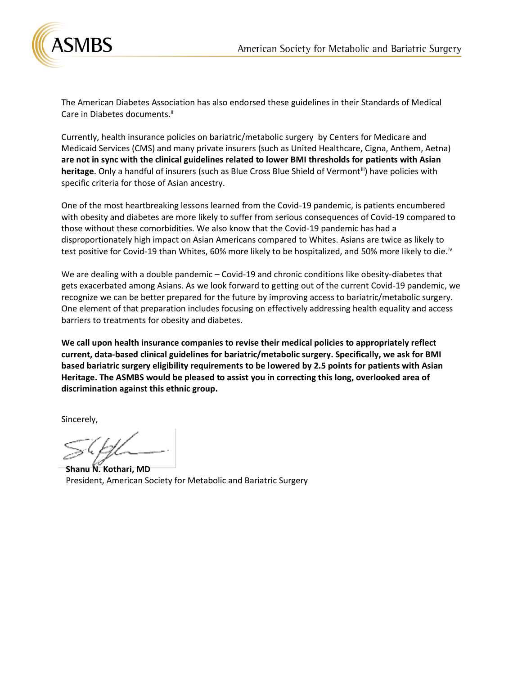

The American Diabetes Association has also endorsed these guidelines in their Standards of Medical Care in Diabetes documents.<sup>ii</sup>

Currently, health insurance policies on bariatric/metabolic surgery by Centers for Medicare and Medicaid Services (CMS) and many private insurers (such as United Healthcare, Cigna, Anthem, Aetna) **are not in sync with the clinical guidelines related to lower BMI thresholds for patients with Asian**  heritage. Only a handful of insurers (such as Blue Cross Blue Shield of Vermont<sup>iii</sup>) have policies with specific criteria for those of Asian ancestry.

One of the most heartbreaking lessons learned from the Covid-19 pandemic, is patients encumbered with obesity and diabetes are more likely to suffer from serious consequences of Covid-19 compared to those without these comorbidities. We also know that the Covid-19 pandemic has had a disproportionately high impact on Asian Americans compared to Whites. Asians are twice as likely to test positive for Covid-19 than Whites, 60% more likely to be hospitalized, and 50% more likely to die.<sup>iv</sup>

We are dealing with a double pandemic – Covid-19 and chronic conditions like obesity-diabetes that gets exacerbated among Asians. As we look forward to getting out of the current Covid-19 pandemic, we recognize we can be better prepared for the future by improving access to bariatric/metabolic surgery. One element of that preparation includes focusing on effectively addressing health equality and access barriers to treatments for obesity and diabetes.

**We call upon health insurance companies to revise their medical policies to appropriately reflect current, data-based clinical guidelines for bariatric/metabolic surgery. Specifically, we ask for BMI based bariatric surgery eligibility requirements to be lowered by 2.5 points for patients with Asian Heritage. The ASMBS would be pleased to assist you in correcting this long, overlooked area of discrimination against this ethnic group.** 

Sincerely,

**Shanu N. Kothari, MD** President, American Society for Metabolic and Bariatric Surgery